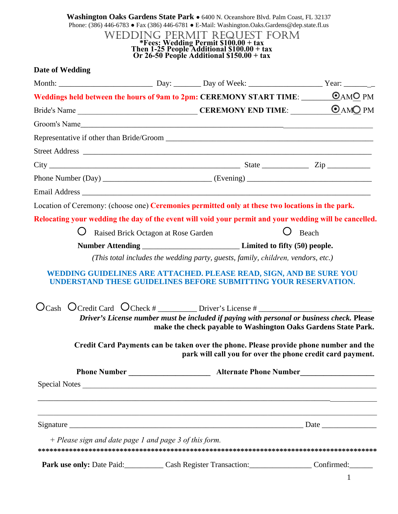|                                                          |  | WEDDING PERMIT REQUEST FORM<br>Free: Wedding Permit \$100.00 + tax<br>Then 1-25 People Additional \$100.00 + tax<br>Or 26-50 People Additional \$150.00 + tax | Phone: (386) 446-6783 • Fax (386) 446-6781 • E-Mail: Washington.Oaks.Gardens@dep.state.fl.us |
|----------------------------------------------------------|--|---------------------------------------------------------------------------------------------------------------------------------------------------------------|----------------------------------------------------------------------------------------------|
| Date of Wedding                                          |  |                                                                                                                                                               |                                                                                              |
|                                                          |  |                                                                                                                                                               |                                                                                              |
|                                                          |  | Weddings held between the hours of 9am to 2pm: CEREMONY START TIME: <u>CAMO PM</u>                                                                            |                                                                                              |
|                                                          |  |                                                                                                                                                               |                                                                                              |
|                                                          |  |                                                                                                                                                               |                                                                                              |
|                                                          |  |                                                                                                                                                               |                                                                                              |
|                                                          |  |                                                                                                                                                               |                                                                                              |
|                                                          |  | $City$ $Zip$ $Zip$                                                                                                                                            |                                                                                              |
|                                                          |  |                                                                                                                                                               |                                                                                              |
|                                                          |  |                                                                                                                                                               |                                                                                              |
|                                                          |  | Location of Ceremony: (choose one) Ceremonies permitted only at these two locations in the park.                                                              |                                                                                              |
|                                                          |  | Relocating your wedding the day of the event will void your permit and your wedding will be cancelled.                                                        |                                                                                              |
| Raised Brick Octagon at Rose Garden                      |  |                                                                                                                                                               | Beach                                                                                        |
|                                                          |  |                                                                                                                                                               |                                                                                              |
|                                                          |  |                                                                                                                                                               |                                                                                              |
|                                                          |  | (This total includes the wedding party, guests, family, children, vendors, etc.)                                                                              |                                                                                              |
|                                                          |  | EDDING GUIDELINES ARE ATTACHED. PLEASE READ, SIGN, AND BE SURE YOU<br>UNDERSTAND THESE GUIDELINES BEFORE SUBMITTING YOUR RESERVATION.                         |                                                                                              |
|                                                          |  |                                                                                                                                                               |                                                                                              |
|                                                          |  | Driver's License number must be included if paying with personal or business check. Please<br>make the check payable to Washington Oaks Gardens State Park.   |                                                                                              |
|                                                          |  | Credit Card Payments can be taken over the phone. Please provide phone number and the<br>park will call you for over the phone credit card payment.           |                                                                                              |
|                                                          |  |                                                                                                                                                               |                                                                                              |
|                                                          |  | Special Notes                                                                                                                                                 |                                                                                              |
|                                                          |  |                                                                                                                                                               |                                                                                              |
|                                                          |  |                                                                                                                                                               |                                                                                              |
| $+$ Please sign and date page 1 and page 3 of this form. |  |                                                                                                                                                               |                                                                                              |

1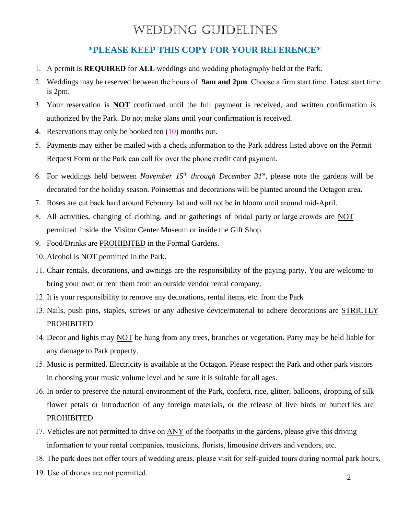## WEDDING GUIDELINES

## **\*PLEASE KEEP THIS COPY FOR YOUR REFERENCE\***

- 1. A permit is **REQUIRED** for **ALL** weddings and wedding photography held at the Park.
- 2. Weddings may be reserved between the hours of **9am and 2pm**. Choose a firm start time. Latest start time is 2pm.
- 3. Your reservation is **NOT** confirmed until the full payment is received, and written confirmation is authorized by the Park. Do not make plans until your confirmation is received.
- 4. Reservations may only be booked ten (10) months out.
- 5. Payments may either be mailed with a check information to the Park address listed above on the Permit Request Form or the Park can call for over the phone credit card payment.
- 6. For weddings held between *November 15th through December 31 st* , please note the gardens will be decorated for the holiday season. Poinsettias and decorations will be planted around the Octagon area.
- 7. Roses are cut back hard around February 1st and will not be in bloom until around mid-April.
- 8. All activities, changing of clothing, and or gatherings of bridal party or large crowds are NOT permitted inside the Visitor Center Museum or inside the Gift Shop.
- 9. Food/Drinks are PROHIBITED in the Formal Gardens.
- 10. Alcohol is NOT permitted in the Park.
- 11. Chair rentals, decorations, and awnings are the responsibility of the paying party. You are welcome to bring your own or rent them from an outside vendor rental company.
- 12. It is your responsibility to remove any decorations, rental items, etc. from the Park
- 13. Nails, push pins, staples, screws or any adhesive device/material to adhere decorations are STRICTLY PROHIBITED.
- 14. Decor and lights may NOT be hung from any trees, branches or vegetation. Party may be held liable for any damage to Park property.
- 15. Music is permitted. Electricity is available at the Octagon. Please respect the Park and other park visitors in choosing your music volume level and be sure it is suitable for all ages.
- 16. In order to preserve the natural environment of the Park, confetti, rice, glitter, balloons, dropping of silk flower petals or introduction of any foreign materials, or the release of live birds or butterflies are PROHIBITED.
- 17. Vehicles are not permitted to drive on ANY of the footpaths in the gardens, please give this driving information to your rental companies, musicians, florists, limousine drivers and vendors, etc.
- 18. The park does not offer tours of wedding areas, please visit for self-guided tours during normal park hours.
- 19. Use of drones are not permitted.